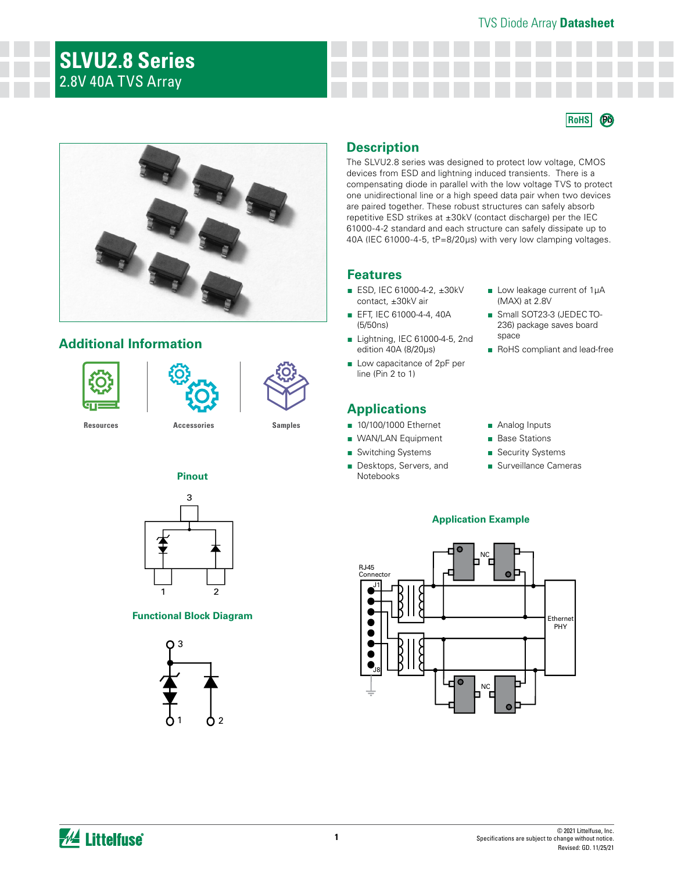# TVS Diode Array **Datasheet**

**RoHS Pb**

# **SLVU2.8 Series** 2.8V 40A TVS Array

# **Additional Information**





**[Resources](https://www.littelfuse.com/products/tvs-diode-arrays/lightning-surge-protection/slvu2_8.aspx#TechnicalResources) [Accessories](https://www.littelfuse.com/products/tvs-diode-arrays/lightning-surge-protection/slvu2_8.aspx#EnvironmentalInfo) [Samples](https://www.littelfuse.com/products/tvs-diode-arrays/lightning-surge-protection/slvu2_8.aspx#ElectricalCharacteristics)**

# **Pinout**



# **Functional Block Diagram**



# **Description**

The SLVU2.8 series was designed to protect low voltage, CMOS devices from ESD and lightning induced transients. There is a compensating diode in parallel with the low voltage TVS to protect one unidirectional line or a high speed data pair when two devices are paired together. These robust structures can safely absorb repetitive ESD strikes at ±30kV (contact discharge) per the IEC 61000-4-2 standard and each structure can safely dissipate up to 40A (IEC 61000-4-5, tP=8/20μs) with very low clamping voltages.

# **Features**

- ESD, IEC 61000-4-2, ±30kV contact, ±30kV air
- EFT, IEC 61000-4-4, 40A (5/50ns)
- Lightning, IEC 61000-4-5, 2nd edition 40A (8/20μs)
- Low capacitance of 2pF per line (Pin 2 to 1)

# **Applications**

- 10/100/1000 Ethernet
- WAN/LAN Equipment
	- Switching Systems
	- Desktops, Servers, and Notebooks
- Low leakage current of 1µA (MAX) at 2.8V
- Small SOT23-3 (JEDEC TO-236) package saves board space
- RoHS compliant and lead-free
- Analog Inputs
- Base Stations
- Security Systems
- Surveillance Cameras

### **Application Example**

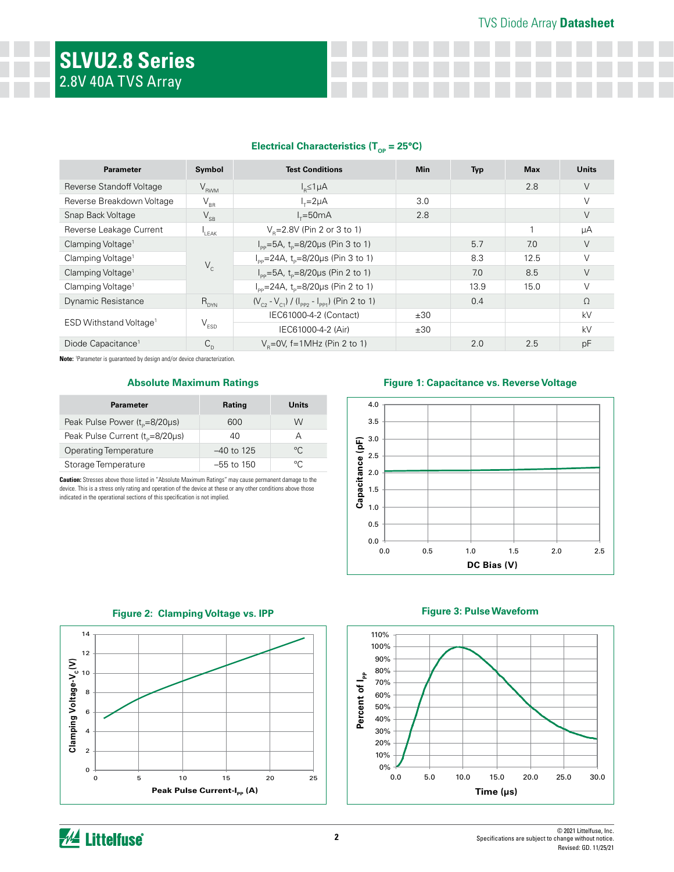### **Electrical Characteristics (T<sub>op</sub> = 25°C)**

| <b>Parameter</b>                   | Symbol                     | <b>Test Conditions</b>                                     | <b>Min</b> | <b>Typ</b> | <b>Max</b> | <b>Units</b> |
|------------------------------------|----------------------------|------------------------------------------------------------|------------|------------|------------|--------------|
| Reverse Standoff Voltage           | $V_{RWM}$                  | $I_{p} \leq 1 \mu A$                                       |            |            | 2.8        | V            |
| Reverse Breakdown Voltage          | $\mathsf{V}_{\texttt{BR}}$ | $I_r = 2\mu A$                                             | 3.0        |            |            | V            |
| Snap Back Voltage                  | $V_{SB}$                   | $l_x = 50mA$                                               | 2.8        |            |            | V            |
| Reverse Leakage Current            | I <sub>I FAK</sub>         | $V_{\rm B} = 2.8V$ (Pin 2 or 3 to 1)                       |            |            |            | μA           |
| Clamping Voltage <sup>1</sup>      | $V_c$                      | $I_{\rm pp}$ =5A, t <sub>p</sub> =8/20µs (Pin 3 to 1)      |            | 5.7        | 7.0        | V            |
| Clamping Voltage <sup>1</sup>      |                            | $I_{\rm pp}$ =24A, t <sub>p</sub> =8/20µs (Pin 3 to 1)     |            | 8.3        | 12.5       | $\vee$       |
| Clamping Voltage <sup>1</sup>      |                            | $I_{\text{pp}} = 5A$ , t <sub>p</sub> =8/20µs (Pin 2 to 1) |            | 7.0        | 8.5        | V            |
| Clamping Voltage <sup>1</sup>      |                            | $I_{\text{pp}}$ =24A, t <sub>p</sub> =8/20µs (Pin 2 to 1)  |            | 13.9       | 15.0       |              |
| <b>Dynamic Resistance</b>          | $R_{DYN}$                  | $(V_{c2} - V_{c1}) / (I_{pp2} - I_{pp1})$ (Pin 2 to 1)     |            | 0.4        |            | $\Omega$     |
| ESD Withstand Voltage <sup>1</sup> |                            | IEC61000-4-2 (Contact)                                     | ±30        |            |            | kV           |
|                                    | $\rm V_{ESD}$              | IEC61000-4-2 (Air)                                         | ±30        |            |            | kV           |
| Diode Capacitance <sup>1</sup>     | $C_{\rm D}$                | $V_p = 0V$ , f=1MHz (Pin 2 to 1)                           |            | 2.0        | 2.5        | pF           |

**Note:** <sup>1</sup> Parameter is guaranteed by design and/or device characterization.

### **Absolute Maximum Ratings**

| <b>Parameter</b>                            | Rating       | Units        |
|---------------------------------------------|--------------|--------------|
| Peak Pulse Power $(t_0=8/20\mu s)$          | 600          | W            |
| Peak Pulse Current (t <sub>o</sub> =8/20µs) | 40           | А            |
| <b>Operating Temperature</b>                | $-40$ to 125 | $^{\circ}$ C |
| Storage Temperature                         | $-55$ to 150 | $^{\circ}$ C |

**Caution:** Stresses above those listed in "Absolute Maximum Ratings" may cause permanent damage to the device. This is a stress only rating and operation of the device at these or any other conditions above those indicated in the operational sections of this specification is not implied.

#### **Figure 1: Capacitance vs. Reverse Voltage**



**Figure 2: Clamping Voltage vs. IPP**



### **Figure 3: Pulse Waveform**

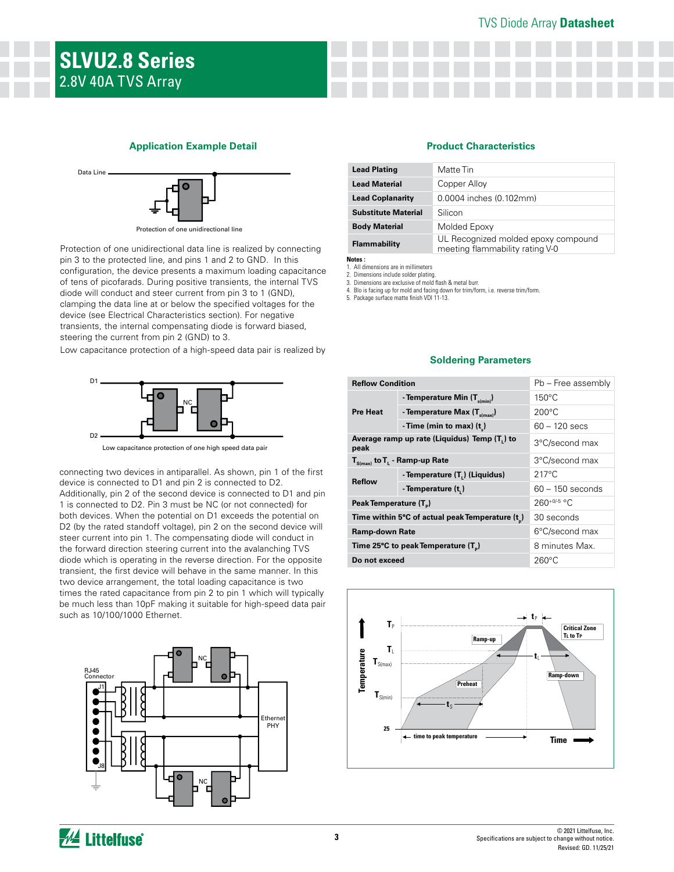# TVS Diode Array **Datasheet**

#### **Application Example Detail**



Protection of one unidirectional line

pin 3 to the protected line, and pins 1 and 2 to GND. In this device (see Electrical Characteristics section). For negative Protection of one unidirectional data line is realized by connecting diode will conduct and steer current from pin 3 to 1 (GND), configuration, the device presents a maximum loading capacitance of tens of picofarads. During positive transients, the internal TVS clamping the data line at or below the specified voltages for the transients, the internal compensating diode is forward biased, steering the current from pin 2 (GND) to 3.

Low capacitance protection of a high-speed data pair is realized by



Low capacitance protection of one high speed data pair

connecting two devices in antiparallel. As shown, pin 1 of the first device is connected to D1 and pin 2 is connected to D2. Additionally, pin 2 of the second device is connected to D1 and pin 1 is connected to D2. Pin 3 must be NC (or not connected) for both devices. When the potential on D1 exceeds the potential on D2 (by the rated standoff voltage), pin 2 on the second device will steer current into pin 1. The compensating diode will conduct in the forward direction steering current into the avalanching TVS diode which is operating in the reverse direction. For the opposite transient, the first device will behave in the same manner. In this two device arrangement, the total loading capacitance is two times the rated capacitance from pin 2 to pin 1 which will typically be much less than 10pF making it suitable for high-speed data pair such as 10/100/1000 Ethernet.



#### **Product Characteristics**

| <b>Lead Plating</b>        | Matte Tin                                                              |
|----------------------------|------------------------------------------------------------------------|
| <b>Lead Material</b>       | Copper Alloy                                                           |
| <b>Lead Coplanarity</b>    | 0.0004 inches (0.102mm)                                                |
| <b>Substitute Material</b> | Silicon                                                                |
| <b>Body Material</b>       | Molded Epoxy                                                           |
| Flammability               | UL Recognized molded epoxy compound<br>meeting flammability rating V-0 |

**Notes :** 

1. All dimensions are in millimeters

2. Dimensions include solder plating. 3. Dimensions are exclusive of mold flash & metal burr.

4. Blo is facing up for mold and facing down for trim/form, i.e. reverse trim/form.

5. Package surface matte finish VDI 11-13.

#### **Soldering Parameters**

| <b>Reflow Condition</b>                                      |                                                           | Pb - Free assembly               |  |
|--------------------------------------------------------------|-----------------------------------------------------------|----------------------------------|--|
| <b>Pre Heat</b>                                              | - Temperature Min $(T_{s(min)})$                          | $150^{\circ}$ C                  |  |
|                                                              | - Temperature Max $(T_{\text{sum}})$                      | $200^{\circ}$ C                  |  |
|                                                              | - Time (min to max) $(t_n)$                               | $60 - 120$ secs                  |  |
| peak                                                         | Average ramp up rate (Liquidus) Temp (T <sub>1</sub> ) to | 3°C/second max                   |  |
|                                                              | $T_{S(max)}$ to $T_{L}$ - Ramp-up Rate                    | 3°C/second max                   |  |
| <b>Reflow</b>                                                | - Temperature (T.) (Liquidus)                             | $217^{\circ}$ C                  |  |
|                                                              | - Temperature (t.)                                        | $60 - 150$ seconds               |  |
| Peak Temperature (T <sub>p</sub> )                           |                                                           | 260+0/-5 °C                      |  |
| Time within 5°C of actual peak Temperature (t <sub>n</sub> ) |                                                           | 30 seconds                       |  |
| <b>Ramp-down Rate</b>                                        |                                                           | 6°C/second max                   |  |
|                                                              | Time 25°C to peak Temperature (T <sub>2</sub> )           | 8 minutes Max.                   |  |
| Do not exceed                                                |                                                           | 260°C                            |  |
|                                                              |                                                           |                                  |  |
| T,                                                           | n.                                                        | <b>Critical Zone</b><br>TL to TP |  |



**AL Littelfuse**